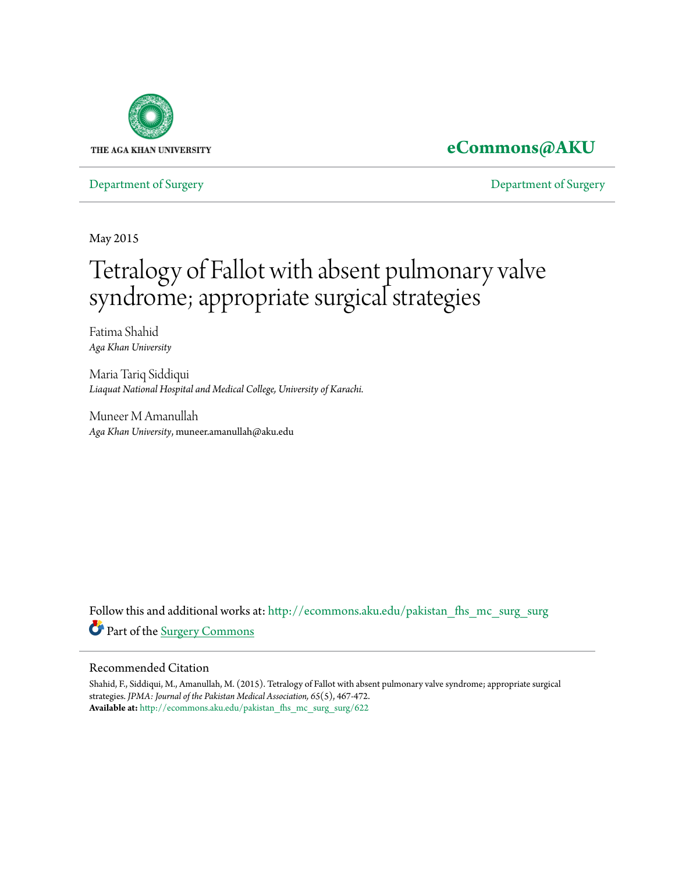

## **[eCommons@AKU](http://ecommons.aku.edu?utm_source=ecommons.aku.edu%2Fpakistan_fhs_mc_surg_surg%2F622&utm_medium=PDF&utm_campaign=PDFCoverPages)**

[Department of Surgery](http://ecommons.aku.edu/pakistan_fhs_mc_surg_surg?utm_source=ecommons.aku.edu%2Fpakistan_fhs_mc_surg_surg%2F622&utm_medium=PDF&utm_campaign=PDFCoverPages) [Department of Surgery](http://ecommons.aku.edu/pakistan_fhs_mc_surg?utm_source=ecommons.aku.edu%2Fpakistan_fhs_mc_surg_surg%2F622&utm_medium=PDF&utm_campaign=PDFCoverPages)

May 2015

# Tetralogy of Fallot with absent pulmonary valve syndrome; appropriate surgical strategies

Fatima Shahid *Aga Khan University*

Maria Tariq Siddiqui *Liaquat National Hospital and Medical College, University of Karachi.*

Muneer M Amanullah *Aga Khan University*, muneer.amanullah@aku.edu

Follow this and additional works at: [http://ecommons.aku.edu/pakistan\\_fhs\\_mc\\_surg\\_surg](http://ecommons.aku.edu/pakistan_fhs_mc_surg_surg?utm_source=ecommons.aku.edu%2Fpakistan_fhs_mc_surg_surg%2F622&utm_medium=PDF&utm_campaign=PDFCoverPages) Part of the [Surgery Commons](http://network.bepress.com/hgg/discipline/706?utm_source=ecommons.aku.edu%2Fpakistan_fhs_mc_surg_surg%2F622&utm_medium=PDF&utm_campaign=PDFCoverPages)

#### Recommended Citation

Shahid, F., Siddiqui, M., Amanullah, M. (2015). Tetralogy of Fallot with absent pulmonary valve syndrome; appropriate surgical strategies. *JPMA: Journal of the Pakistan Medical Association, 65*(5), 467-472. **Available at:** [http://ecommons.aku.edu/pakistan\\_fhs\\_mc\\_surg\\_surg/622](http://ecommons.aku.edu/pakistan_fhs_mc_surg_surg/622)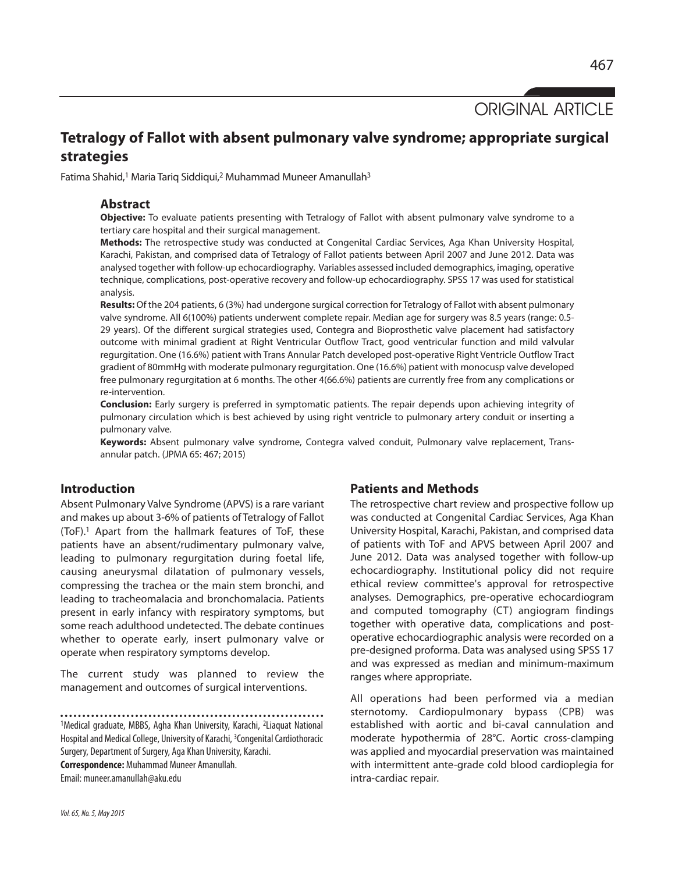ORIGINAL ARTICLE

### **Tetralogy of Fallot with absent pulmonary valve syndrome; appropriate surgical strategies**

Fatima Shahid,<sup>1</sup> Maria Tariq Siddiqui,<sup>2</sup> Muhammad Muneer Amanullah<sup>3</sup>

#### **Abstract**

**Objective:** To evaluate patients presenting with Tetralogy of Fallot with absent pulmonary valve syndrome to a tertiary care hospital and their surgical management.

**Methods:** The retrospective study was conducted at Congenital Cardiac Services, Aga Khan University Hospital, Karachi, Pakistan, and comprised data of Tetralogy of Fallot patients between April 2007 and June 2012. Data was analysed together with follow-up echocardiography. Variables assessed included demographics, imaging, operative technique, complications, post-operative recovery and follow-up echocardiography. SPSS 17 was used for statistical analysis.

**Results:** Of the 204 patients, 6 (3%) had undergone surgical correction for Tetralogy of Fallot with absent pulmonary valve syndrome. All 6(100%) patients underwent complete repair. Median age for surgery was 8.5 years (range: 0.5- 29 years). Of the different surgical strategies used, Contegra and Bioprosthetic valve placement had satisfactory outcome with minimal gradient at Right Ventricular Outflow Tract, good ventricular function and mild valvular regurgitation. One (16.6%) patient with Trans Annular Patch developed post-operative Right Ventricle Outflow Tract gradient of 80mmHg with moderate pulmonary regurgitation. One (16.6%) patient with monocusp valve developed free pulmonary regurgitation at 6 months. The other 4(66.6%) patients are currently free from any complications or re-intervention.

**Conclusion:** Early surgery is preferred in symptomatic patients. The repair depends upon achieving integrity of pulmonary circulation which is best achieved by using right ventricle to pulmonary artery conduit or inserting a pulmonary valve.

**Keywords:** Absent pulmonary valve syndrome, Contegra valved conduit, Pulmonary valve replacement, Transannular patch. (JPMA 65: 467; 2015)

#### **Introduction**

Absent Pulmonary Valve Syndrome (APVS) is a rare variant and makes up about 3-6% of patients of Tetralogy of Fallot (ToF). <sup>1</sup> Apart from the hallmark features of ToF, these patients have an absent/rudimentary pulmonary valve, leading to pulmonary regurgitation during foetal life, causing aneurysmal dilatation of pulmonary vessels, compressing the trachea or the main stem bronchi, and leading to tracheomalacia and bronchomalacia. Patients present in early infancy with respiratory symptoms, but some reach adulthood undetected. The debate continues whether to operate early, insert pulmonary valve or operate when respiratory symptoms develop.

The current study was planned to review the management and outcomes of surgical interventions.

1Medical graduate, MBBS, Agha Khan University, Karachi, 2Liaquat National Hospital and Medical College, University of Karachi, <sup>3</sup>Congenital Cardiothoracic Surgery, Department of Surgery, Aga Khan University, Karachi. **Correspondence:** Muhammad Muneer Amanullah. Email: muneer.amanullah@aku.edu

#### **Patients and Methods**

The retrospective chart review and prospective follow up was conducted at Congenital Cardiac Services, Aga Khan University Hospital, Karachi, Pakistan, and comprised data of patients with ToF and APVS between April 2007 and June 2012. Data was analysed together with follow-up echocardiography. Institutional policy did not require ethical review committee's approval for retrospective analyses. Demographics, pre-operative echocardiogram and computed tomography (CT) angiogram findings together with operative data, complications and postoperative echocardiographic analysis were recorded on a pre-designed proforma. Data was analysed using SPSS 17 and was expressed as median and minimum-maximum ranges where appropriate.

All operations had been performed via a median sternotomy. Cardiopulmonary bypass (CPB) was established with aortic and bi-caval cannulation and moderate hypothermia of 28°C. Aortic cross-clamping was applied and myocardial preservation was maintained with intermittent ante-grade cold blood cardioplegia for intra-cardiac repair.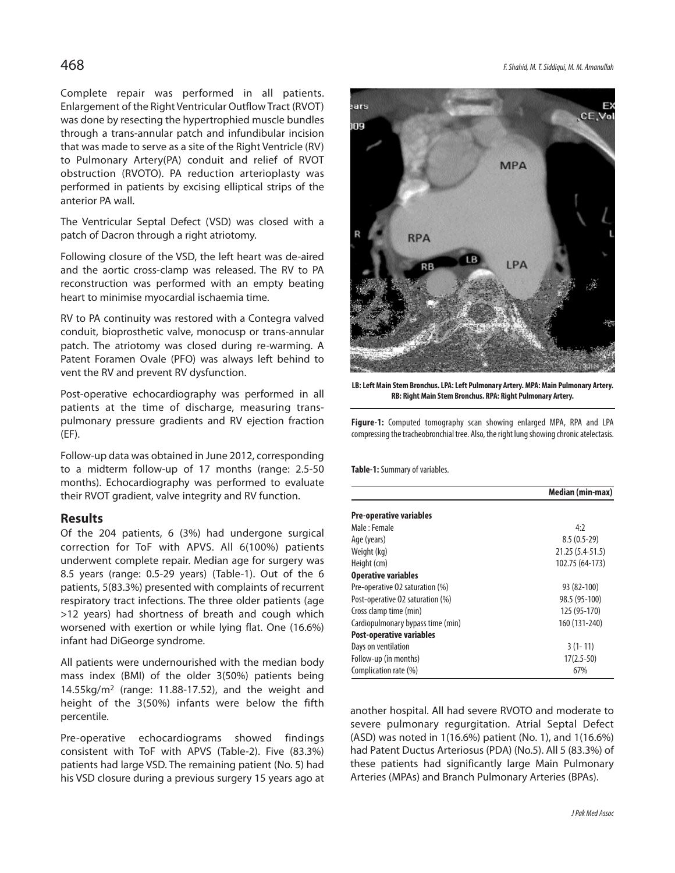Complete repair was performed in all patients. Enlargement of the Right Ventricular Outflow Tract (RVOT) was done by resecting the hypertrophied muscle bundles through a trans-annular patch and infundibular incision that was made to serve as a site of the Right Ventricle (RV) to Pulmonary Artery(PA) conduit and relief of RVOT obstruction (RVOTO). PA reduction arterioplasty was performed in patients by excising elliptical strips of the anterior PA wall.

The Ventricular Septal Defect (VSD) was closed with a patch of Dacron through a right atriotomy.

Following closure of the VSD, the left heart was de-aired and the aortic cross-clamp was released. The RV to PA reconstruction was performed with an empty beating heart to minimise myocardial ischaemia time.

RV to PA continuity was restored with a Contegra valved conduit, bioprosthetic valve, monocusp or trans-annular patch. The atriotomy was closed during re-warming. A Patent Foramen Ovale (PFO) was always left behind to vent the RV and prevent RV dysfunction.

Post-operative echocardiography was performed in all patients at the time of discharge, measuring transpulmonary pressure gradients and RV ejection fraction (EF).

Follow-up data was obtained in June 2012, corresponding to a midterm follow-up of 17 months (range: 2.5-50 months). Echocardiography was performed to evaluate their RVOT gradient, valve integrity and RV function.

#### **Results**

Of the 204 patients, 6 (3%) had undergone surgical correction for ToF with APVS. All 6(100%) patients underwent complete repair. Median age for surgery was 8.5 years (range: 0.5-29 years) (Table-1). Out of the 6 patients, 5(83.3%) presented with complaints of recurrent respiratory tract infections. The three older patients (age >12 years) had shortness of breath and cough which worsened with exertion or while lying flat. One (16.6%) infant had DiGeorge syndrome.

All patients were undernourished with the median body mass index (BMI) of the older 3(50%) patients being 14.55kg/m2 (range: 11.88-17.52), and the weight and height of the 3(50%) infants were below the fifth percentile.

Pre-operative echocardiograms showed findings consistent with ToF with APVS (Table-2). Five (83.3%) patients had large VSD. The remaining patient (No. 5) had his VSD closure during a previous surgery 15 years ago at



**LB:LeftMain StemBronchus.LPA:Left Pulmonary Artery.MPA:Main Pulmonary Artery. RB: RightMain StemBronchus. RPA: Right Pulmonary Artery.**

**Figure-1:** Computed tomography scan showing enlarged MPA, RPA and LPA compressing the tracheobronchial tree. Also, the right lung showing chronic atelectasis.

**Table-1:** Summary of variables.

|                                   | median (min-max) |
|-----------------------------------|------------------|
| <b>Pre-operative variables</b>    |                  |
| Male : Female                     | 4:2              |
| Age (years)                       | $8.5(0.5-29)$    |
| Weight (kg)                       | 21.25 (5.4-51.5) |
| Height (cm)                       | 102.75 (64-173)  |
| <b>Operative variables</b>        |                  |
| Pre-operative 02 saturation (%)   | 93 (82-100)      |
| Post-operative 02 saturation (%)  | 98.5 (95-100)    |
| Cross clamp time (min)            | 125 (95-170)     |
| Cardiopulmonary bypass time (min) | 160 (131-240)    |
| <b>Post-operative variables</b>   |                  |
| Days on ventilation               | $3(1 - 11)$      |
| Follow-up (in months)             | $17(2.5-50)$     |
| Complication rate (%)             | 67%              |

another hospital. All had severe RVOTO and moderate to severe pulmonary regurgitation. Atrial Septal Defect (ASD) was noted in 1(16.6%) patient (No. 1), and 1(16.6%) had Patent Ductus Arteriosus (PDA) (No.5). All 5 (83.3%) of these patients had significantly large Main Pulmonary Arteries (MPAs) and Branch Pulmonary Arteries (BPAs).

**Median (min-max)**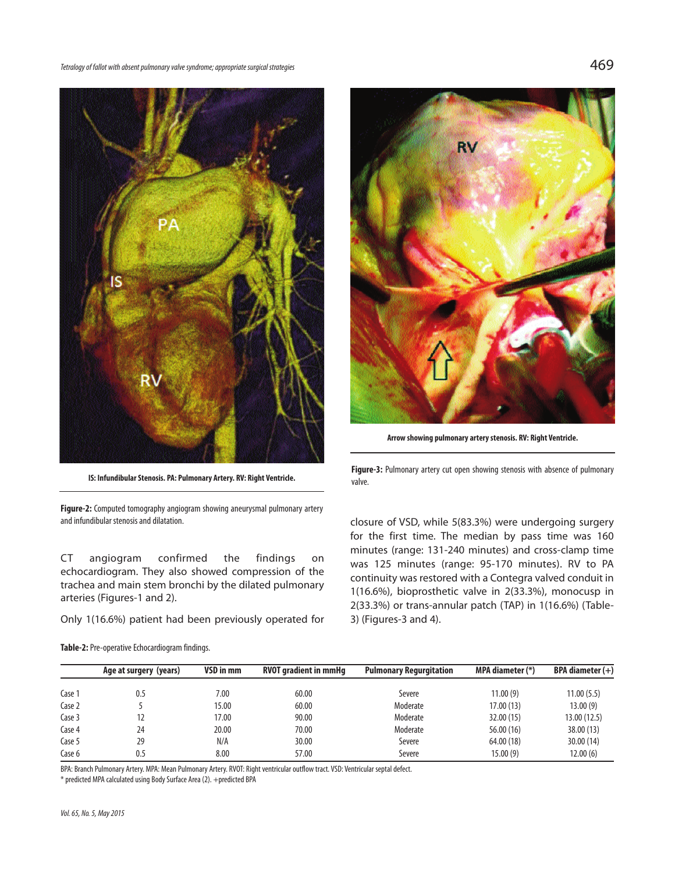*Tetralogyof fallot withabsentpulmonaryvalvesyndrome;appropriatesurgical strategies* 469



**Figure-2:** Computed tomography angiogram showing aneurysmal pulmonary artery and infundibular stenosis and dilatation.

CT angiogram confirmed the findings on echocardiogram. They also showed compression of the trachea and main stem bronchi by the dilated pulmonary arteries (Figures-1 and 2).

Only 1(16.6%) patient had been previously operated for

**Table-2:** Pre-operative Echocardiogram findings.



**Arrow showing pulmonary arterystenosis. RV: Right Ventricle.**

**IS:** Infundibular Stenosis. PA: Pulmonary Artery. RV: Right Ventricle. **Figure-3:** Pulmonary artery cut open showing stenosis with absence of pulmonary artery cut open showing stenosis with absence of pulmonary valve.

> closure of VSD, while 5(83.3%) were undergoing surgery for the first time. The median by pass time was 160 minutes (range: 131-240 minutes) and cross-clamp time was 125 minutes (range: 95-170 minutes). RV to PA continuity was restored with a Contegra valved conduit in 1(16.6%), bioprosthetic valve in 2(33.3%), monocusp in 2(33.3%) or trans-annular patch (TAP) in 1(16.6%) (Table-3) (Figures-3 and 4).

|                   | Age at surgery (years) | VSD in mm | <b>RVOT gradient in mmHg</b> | <b>Pulmonary Regurgitation</b> | MPA diameter (*) | BPA diameter $(+)$ |
|-------------------|------------------------|-----------|------------------------------|--------------------------------|------------------|--------------------|
|                   |                        |           |                              |                                |                  |                    |
| Case <sup>1</sup> | 0.5                    | 7.00      | 60.00                        | Severe                         | 11.00(9)         | 11.00(5.5)         |
| Case 2            |                        | 15.00     | 60.00                        | Moderate                       | 17.00(13)        | 13.00(9)           |
| Case 3            |                        | 17.00     | 90.00                        | Moderate                       | 32.00 (15)       | 13.00 (12.5)       |
| Case 4            | 24                     | 20.00     | 70.00                        | Moderate                       | 56.00 (16)       | 38.00 (13)         |
| Case 5            | 29                     | N/A       | 30.00                        | Severe                         | 64.00 (18)       | 30.00 (14)         |
| Case 6            | 0.5                    | 8.00      | 57.00                        | Severe                         | 15.00(9)         | 12.00(6)           |

BPA: Branch Pulmonary Artery. MPA: Mean Pulmonary Artery. RVOT: Right ventricular outflow tract. VSD: Ventricular septal defect.

\*predicted MPA calculatedusing BodySurface Area(2). +predicted BPA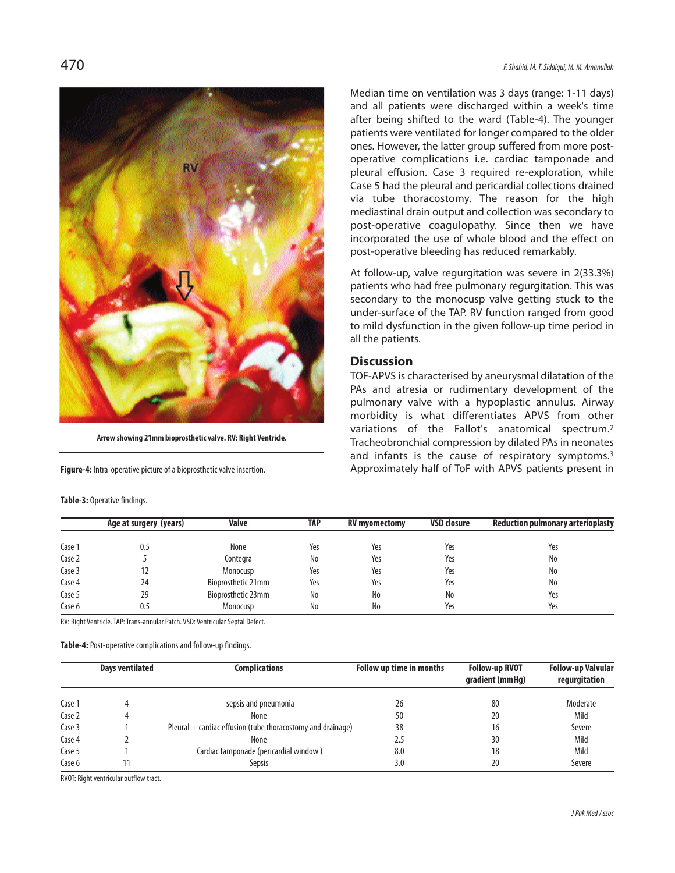

**Arrow showing 21mm bioprostheticvalve. RV: Right Ventricle.**

**Figure-4:** Intra-operative picture of a bioprosthetic valve insertion.

#### **Table-3: Operative findings.**

470 *F.Shahid, M.T.Siddiqui, M. M. Amanullah*

Median time on ventilation was 3 days (range: 1-11 days) and all patients were discharged within a week's time after being shifted to the ward (Table-4). The younger patients were ventilated for longer compared to the older ones. However, the latter group suffered from more postoperative complications i.e. cardiac tamponade and pleural effusion. Case 3 required re-exploration, while Case 5 had the pleural and pericardial collections drained via tube thoracostomy. The reason for the high mediastinal drain output and collection was secondary to post-operative coagulopathy. Since then we have incorporated the use of whole blood and the effect on post-operative bleeding has reduced remarkably.

At follow-up, valve regurgitation was severe in 2(33.3%) patients who had free pulmonary regurgitation. This was secondary to the monocusp valve getting stuck to the under-surface of the TAP. RV function ranged from good to mild dysfunction in the given follow-up time period in all the patients.

#### **Discussion**

TOF-APVS is characterised by aneurysmal dilatation of the PAs and atresia or rudimentary development of the pulmonary valve with a hypoplastic annulus. Airway morbidity is what differentiates APVS from other variations of the Fallot's anatomical spectrum. 2 Tracheobronchial compression by dilated PAs in neonates and infants is the cause of respiratory symptoms.<sup>3</sup> Approximately half of ToF with APVS patients present in

|        | Age at surgery (years)                                                         | <b>Valve</b>       | TAP | <b>RV</b> mvomectomv | <b>VSD closure</b> | <b>Reduction pulmonary arterioplasty</b> |
|--------|--------------------------------------------------------------------------------|--------------------|-----|----------------------|--------------------|------------------------------------------|
| Case 1 | 0.5                                                                            | None               | Yes | Yes                  | Yes                | Yes                                      |
| Case 2 |                                                                                | Contegra           | No  | Yes                  | Yes                | No                                       |
| Case 3 |                                                                                | Monocusp           | Yes | Yes                  | Yes                | No                                       |
| Case 4 | 24                                                                             | Bioprosthetic 21mm | Yes | Yes                  | Yes                | No                                       |
| Case 5 | 29                                                                             | Bioprosthetic 23mm | No  | No                   | No                 | Yes                                      |
| Case 6 | 0.5                                                                            | Monocusp           | No  | No                   | Yes                | Yes                                      |
|        | RV: Right Ventricle. TAP: Trans-annular Patch. VSD: Ventricular Septal Defect. |                    |     |                      |                    |                                          |

Table-4: Post-operative complications and follow-up findings.

|        | <b>Days ventilated</b> | <b>Complications</b>                                          | Follow up time in months | <b>Follow-up RVOT</b><br>gradient (mmHg) | <b>Follow-up Valvular</b><br>regurgitation |
|--------|------------------------|---------------------------------------------------------------|--------------------------|------------------------------------------|--------------------------------------------|
| Case 1 |                        | sepsis and pneumonia                                          | 26                       | 80                                       | Moderate                                   |
| Case 2 |                        | None                                                          | 50                       | 20                                       | Mild                                       |
| Case 3 |                        | Pleural $+$ cardiac effusion (tube thoracostomy and drainage) | 38                       | 16                                       | Severe                                     |
| Case 4 |                        | None                                                          | 2.5                      | 30                                       | Mild                                       |
| Case 5 |                        | Cardiac tamponade (pericardial window)                        | 8.0                      | 18                                       | Mild                                       |
| Case 6 |                        | Sepsis                                                        | 3.0                      | 20                                       | Severe                                     |

RVOT: Right ventricular outflow tract.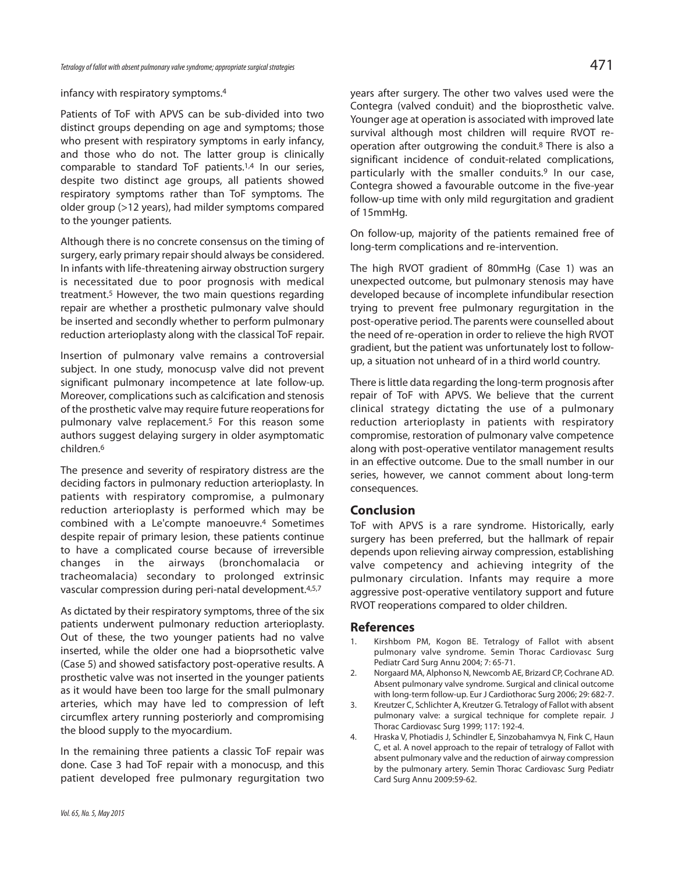#### infancy with respiratory symptoms. 4

Patients of ToF with APVS can be sub-divided into two distinct groups depending on age and symptoms; those who present with respiratory symptoms in early infancy, and those who do not. The latter group is clinically comparable to standard ToF patients. 1,4 In our series, despite two distinct age groups, all patients showed respiratory symptoms rather than ToF symptoms. The older group (>12 years), had milder symptoms compared to the younger patients.

Although there is no concrete consensus on the timing of surgery, early primary repair should always be considered. In infants with life-threatening airway obstruction surgery is necessitated due to poor prognosis with medical treatment. <sup>5</sup> However, the two main questions regarding repair are whether a prosthetic pulmonary valve should be inserted and secondly whether to perform pulmonary reduction arterioplasty along with the classical ToF repair.

Insertion of pulmonary valve remains a controversial subject. In one study, monocusp valve did not prevent significant pulmonary incompetence at late follow-up. Moreover, complications such as calcification and stenosis of the prosthetic valve may require future reoperations for pulmonary valve replacement. <sup>5</sup> For this reason some authors suggest delaying surgery in older asymptomatic children. 6

The presence and severity of respiratory distress are the deciding factors in pulmonary reduction arterioplasty. In patients with respiratory compromise, a pulmonary reduction arterioplasty is performed which may be combined with a Le'compte manoeuvre. <sup>4</sup> Sometimes despite repair of primary lesion, these patients continue to have a complicated course because of irreversible changes in the airways (bronchomalacia or tracheomalacia) secondary to prolonged extrinsic vascular compression during peri-natal development.<sup>4,5,7</sup>

As dictated by their respiratory symptoms, three of the six patients underwent pulmonary reduction arterioplasty. Out of these, the two younger patients had no valve inserted, while the older one had a bioprsothetic valve (Case 5) and showed satisfactory post-operative results. A prosthetic valve was not inserted in the younger patients as it would have been too large for the small pulmonary arteries, which may have led to compression of left circumflex artery running posteriorly and compromising the blood supply to the myocardium.

In the remaining three patients a classic ToF repair was done. Case 3 had ToF repair with a monocusp, and this patient developed free pulmonary regurgitation two years after surgery. The other two valves used were the Contegra (valved conduit) and the bioprosthetic valve. Younger age at operation is associated with improved late survival although most children will require RVOT reoperation after outgrowing the conduit. <sup>8</sup> There is also a significant incidence of conduit-related complications, particularly with the smaller conduits.<sup>9</sup> In our case, Contegra showed a favourable outcome in the five-year follow-up time with only mild regurgitation and gradient of 15mmHg.

On follow-up, majority of the patients remained free of long-term complications and re-intervention.

The high RVOT gradient of 80mmHg (Case 1) was an unexpected outcome, but pulmonary stenosis may have developed because of incomplete infundibular resection trying to prevent free pulmonary regurgitation in the post-operative period. The parents were counselled about the need of re-operation in order to relieve the high RVOT gradient, but the patient was unfortunately lost to followup, a situation not unheard of in a third world country.

There is little data regarding the long-term prognosis after repair of ToF with APVS. We believe that the current clinical strategy dictating the use of a pulmonary reduction arterioplasty in patients with respiratory compromise, restoration of pulmonary valve competence along with post-operative ventilator management results in an effective outcome. Due to the small number in our series, however, we cannot comment about long-term consequences.

#### **Conclusion**

ToF with APVS is a rare syndrome. Historically, early surgery has been preferred, but the hallmark of repair depends upon relieving airway compression, establishing valve competency and achieving integrity of the pulmonary circulation. Infants may require a more aggressive post-operative ventilatory support and future RVOT reoperations compared to older children.

#### **References**

- 1. Kirshbom PM, Kogon BE. Tetralogy of Fallot with absent pulmonary valve syndrome. Semin Thorac Cardiovasc Surg Pediatr Card Surg Annu 2004; 7: 65-71.
- 2. Norgaard MA, Alphonso N, Newcomb AE, Brizard CP, Cochrane AD. Absent pulmonary valve syndrome. Surgical and clinical outcome with long-term follow-up. Eur J Cardiothorac Surg 2006; 29: 682-7.
- 3. Kreutzer C, Schlichter A, Kreutzer G. Tetralogy of Fallot with absent pulmonary valve: a surgical technique for complete repair. J Thorac Cardiovasc Surg 1999; 117: 192-4.
- 4. Hraska V, Photiadis J, Schindler E, Sinzobahamvya N, Fink C, Haun C, et al. A novel approach to the repair of tetralogy of Fallot with absent pulmonary valve and the reduction of airway compression by the pulmonary artery. Semin Thorac Cardiovasc Surg Pediatr Card Surg Annu 2009:59-62.